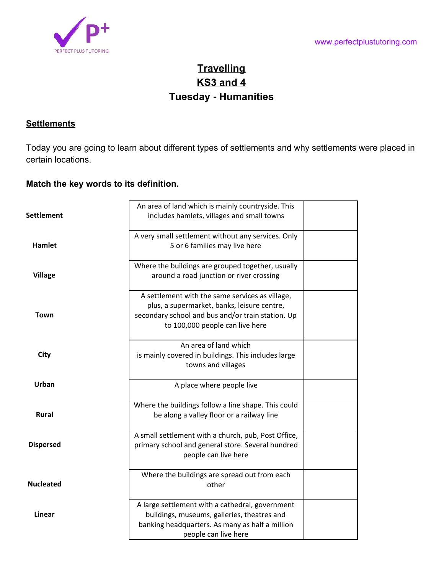

# **Travelling KS3 and 4 Tuesday - Humanities**

## **Settlements**

Today you are going to learn about different types of settlements and why settlements were placed in certain locations.

### **Match the key words to its definition.**

| Settlement       | An area of land which is mainly countryside. This<br>includes hamlets, villages and small towns                                                                                        |  |
|------------------|----------------------------------------------------------------------------------------------------------------------------------------------------------------------------------------|--|
| Hamlet           | A very small settlement without any services. Only<br>5 or 6 families may live here                                                                                                    |  |
| <b>Village</b>   | Where the buildings are grouped together, usually<br>around a road junction or river crossing                                                                                          |  |
| Town             | A settlement with the same services as village,<br>plus, a supermarket, banks, leisure centre,<br>secondary school and bus and/or train station. Up<br>to 100,000 people can live here |  |
| City             | An area of land which<br>is mainly covered in buildings. This includes large<br>towns and villages                                                                                     |  |
| Urban            | A place where people live                                                                                                                                                              |  |
| <b>Rural</b>     | Where the buildings follow a line shape. This could<br>be along a valley floor or a railway line                                                                                       |  |
| <b>Dispersed</b> | A small settlement with a church, pub, Post Office,<br>primary school and general store. Several hundred<br>people can live here                                                       |  |
| <b>Nucleated</b> | Where the buildings are spread out from each<br>other                                                                                                                                  |  |
| <b>Linear</b>    | A large settlement with a cathedral, government<br>buildings, museums, galleries, theatres and<br>banking headquarters. As many as half a million<br>people can live here              |  |
|                  |                                                                                                                                                                                        |  |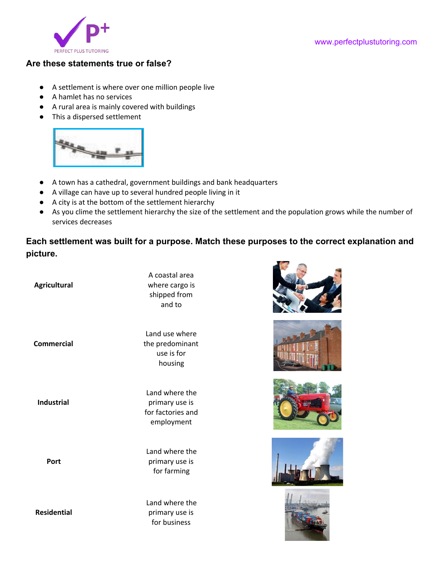

#### **Are these statements true or false?**

- A settlement is where over one million people live
- A hamlet has no services
- A rural area is mainly covered with buildings
- This a dispersed settlement



- A town has a cathedral, government buildings and bank headquarters
- A village can have up to several hundred people living in it
- A city is at the bottom of the settlement hierarchy
- As you clime the settlement hierarchy the size of the settlement and the population grows while the number of services decreases

**Each settlement was built for a purpose. Match these purposes to the correct explanation and picture.**

| <b>Agricultural</b> | A coastal area<br>where cargo is<br>shipped from<br>and to          |
|---------------------|---------------------------------------------------------------------|
| Commercial          | Land use where<br>the predominant<br>use is for<br>housing          |
| <b>Industrial</b>   | Land where the<br>primary use is<br>for factories and<br>employment |
| Port                | Land where the<br>primary use is<br>for farming                     |
| <b>Residential</b>  | Land where the<br>primary use is<br>for business                    |